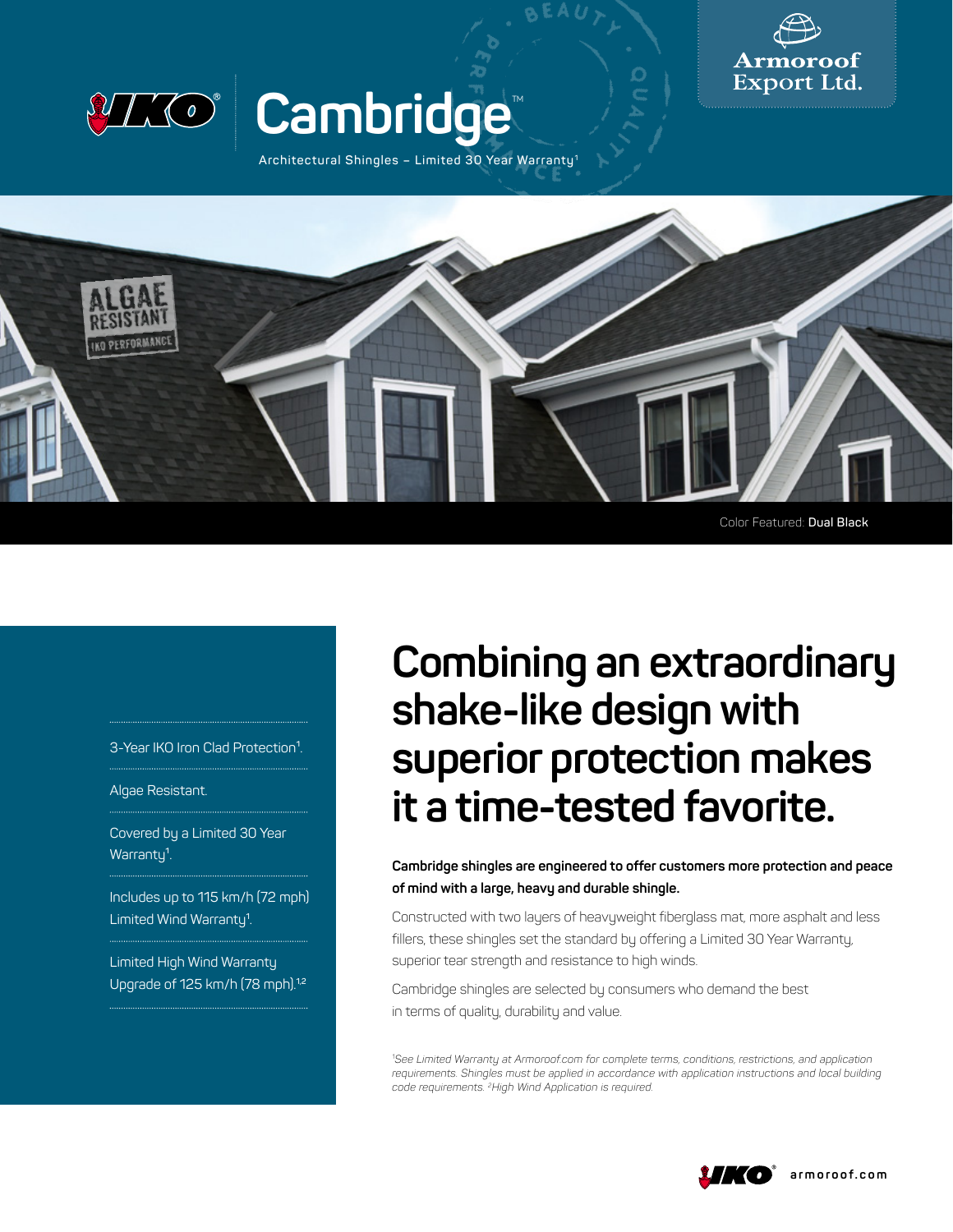



## Cambridge<sup>®</sup>

**Architectural Shingles – Limited 30 Year Warranty1**



3-Year IKO Iron Clad Protection<sup>1</sup>.

Algae Resistant.

Covered by a Limited 30 Year Warranty<sup>1</sup>.

Includes up to 115 km/h (72 mph) Limited Wind Warranty**<sup>1</sup>** .

Limited High Wind Warranty Upgrade of 125 km/h (78 mph).**1,2**

## **Combining an extraordinary shake‑like design with superior protection makes it a time‑tested favorite.**

**Cambridge shingles are engineered to offer customers more protection and peace of mind with a large, heavy and durable shingle.** 

Constructed with two layers of heavyweight fiberglass mat, more asphalt and less fillers, these shingles set the standard by offering a Limited 30 Year Warranty, superior tear strength and resistance to high winds.

Cambridge shingles are selected by consumers who demand the best in terms of quality, durability and value.

*1 See Limited Warranty at Armoroof.com for complete terms, conditions, restrictions, and application requirements. Shingles must be applied in accordance with application instructions and local building code requirements. 2High Wind Application is required.*